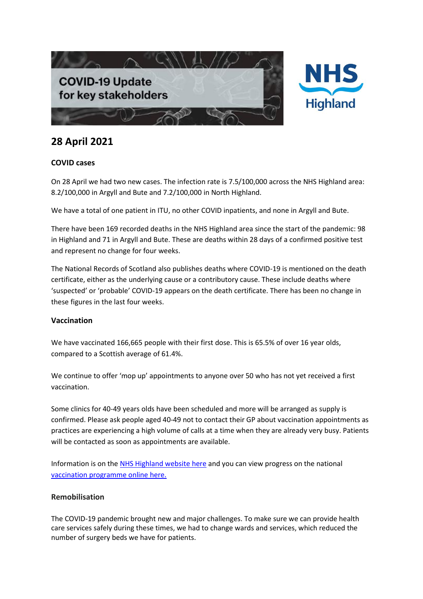



# **28 April 2021**

## **COVID cases**

On 28 April we had two new cases. The infection rate is 7.5/100,000 across the NHS Highland area: 8.2/100,000 in Argyll and Bute and 7.2/100,000 in North Highland.

We have a total of one patient in ITU, no other COVID inpatients, and none in Argyll and Bute.

There have been 169 recorded deaths in the NHS Highland area since the start of the pandemic: 98 in Highland and 71 in Argyll and Bute. These are deaths within 28 days of a confirmed positive test and represent no change for four weeks.

The National Records of Scotland also publishes deaths where COVID-19 is mentioned on the death certificate, either as the underlying cause or a contributory cause. These include deaths where 'suspected' or 'probable' COVID-19 appears on the death certificate. There has been no change in these figures in the last four weeks.

## **Vaccination**

We have vaccinated 166,665 people with their first dose. This is 65.5% of over 16 year olds, compared to a Scottish average of 61.4%.

We continue to offer 'mop up' appointments to anyone over 50 who has not yet received a first vaccination.

Some clinics for 40-49 years olds have been scheduled and more will be arranged as supply is confirmed. Please ask people aged 40-49 not to contact their GP about vaccination appointments as practices are experiencing a high volume of calls at a time when they are already very busy. Patients will be contacted as soon as appointments are available.

Information is on th[e NHS Highland website here](https://www.nhshighland.scot.nhs.uk/COVID19/Pages/Vaccination.aspx) and you can view progress on the national [vaccination programme online here.](https://public.tableau.com/profile/phs.covid.19#!/vizhome/COVID-19DailyDashboard_15960160643010/Overview)

## **Remobilisation**

The COVID-19 pandemic brought new and major challenges. To make sure we can provide health care services safely during these times, we had to change wards and services, which reduced the number of surgery beds we have for patients.